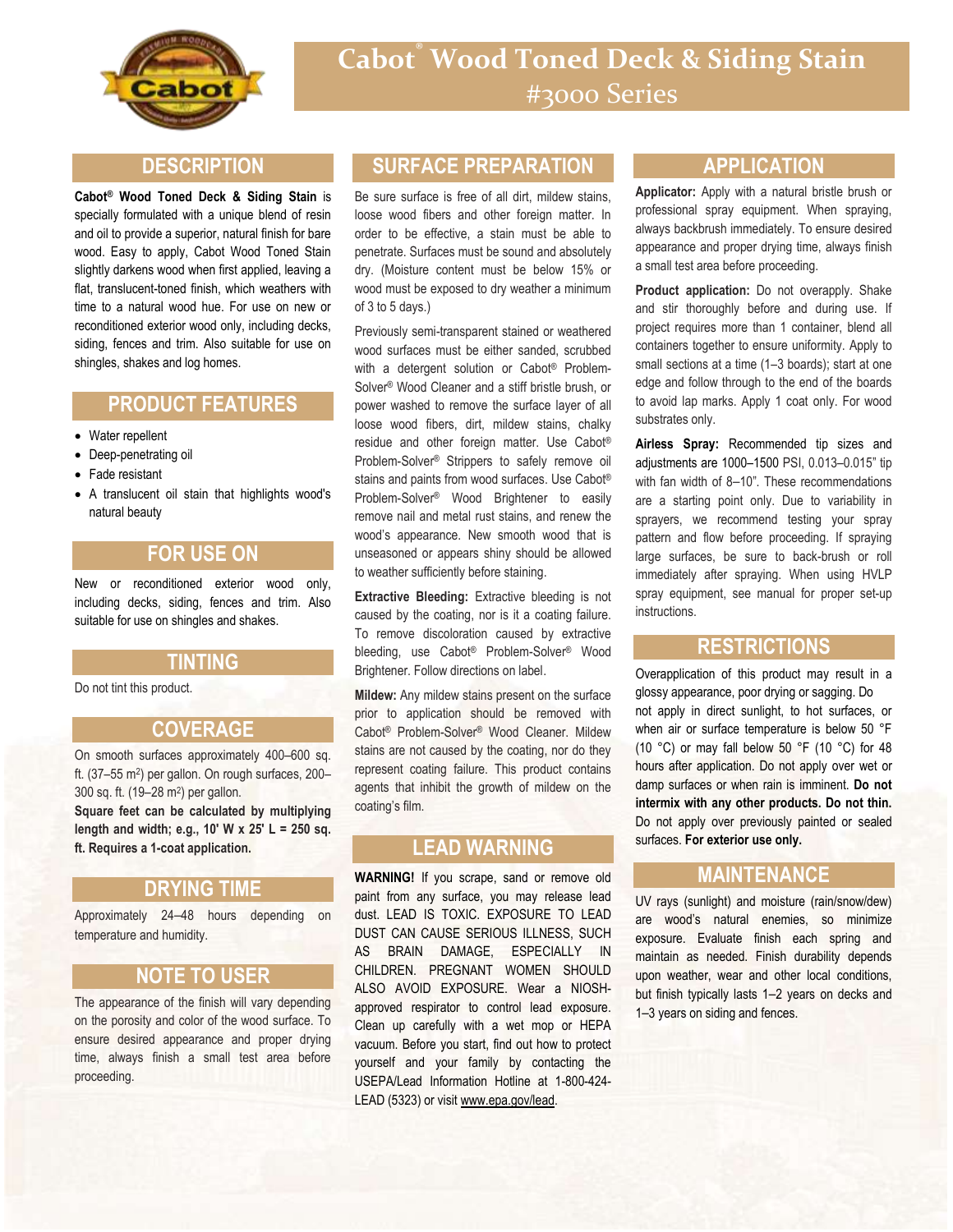

### **DESCRIPTION**

**Cabot® Wood Toned Deck & Siding Stain** is specially formulated with a unique blend of resin and oil to provide a superior, natural finish for bare wood. Easy to apply, Cabot Wood Toned Stain slightly darkens wood when first applied, leaving a flat, translucent-toned finish, which weathers with time to a natural wood hue. For use on new or reconditioned exterior wood only, including decks, siding, fences and trim. Also suitable for use on shingles, shakes and log homes.

## **PRODUCT FEATURES**

- Water repellent
- Deep-penetrating oil
- Fade resistant
- A translucent oil stain that highlights wood's natural beauty

### **FOR USE ON**

New or reconditioned exterior wood only, including decks, siding, fences and trim. Also suitable for use on shingles and shakes.

#### **TINTING**

Do not tint this product.

### **COVERAGE**

On smooth surfaces approximately 400–600 sq. ft. (37-55 m<sup>2</sup>) per gallon. On rough surfaces, 200-300 sq. ft. (19–28 m<sup>2</sup> ) per gallon.

**Square feet can be calculated by multiplying length and width; e.g., 10' W x 25' L = 250 sq. ft. Requires a 1-coat application.**

### **DRYING TIME**

Approximately 24–48 hours depending on temperature and humidity.

### **NOTE TO USER**

The appearance of the finish will vary depending on the porosity and color of the wood surface. To ensure desired appearance and proper drying time, always finish a small test area before proceeding.

# **SURFACE PREPARATION**

Be sure surface is free of all dirt, mildew stains, loose wood fibers and other foreign matter. In order to be effective, a stain must be able to penetrate. Surfaces must be sound and absolutely dry. (Moisture content must be below 15% or wood must be exposed to dry weather a minimum of 3 to 5 days.)

Previously semi-transparent stained or weathered wood surfaces must be either sanded, scrubbed with a detergent solution or Cabot® Problem-Solver® Wood Cleaner and a stiff bristle brush, or power washed to remove the surface layer of all loose wood fibers, dirt, mildew stains, chalky residue and other foreign matter. Use Cabot® Problem-Solver® Strippers to safely remove oil stains and paints from wood surfaces. Use Cabot® Problem-Solver® Wood Brightener to easily remove nail and metal rust stains, and renew the wood's appearance. New smooth wood that is unseasoned or appears shiny should be allowed to weather sufficiently before staining.

**Extractive Bleeding:** Extractive bleeding is not caused by the coating, nor is it a coating failure. To remove discoloration caused by extractive bleeding, use Cabot® Problem-Solver® Wood Brightener. Follow directions on label.

**Mildew:** Any mildew stains present on the surface prior to application should be removed with Cabot® Problem-Solver® Wood Cleaner. Mildew stains are not caused by the coating, nor do they represent coating failure. This product contains agents that inhibit the growth of mildew on the coating's film.

### **LEAD WARNING**

**WARNING!** If you scrape, sand or remove old paint from any surface, you may release lead dust. LEAD IS TOXIC. EXPOSURE TO LEAD DUST CAN CAUSE SERIOUS ILLNESS, SUCH AS BRAIN DAMAGE, ESPECIALLY IN CHILDREN. PREGNANT WOMEN SHOULD ALSO AVOID EXPOSURE. Wear a NIOSHapproved respirator to control lead exposure. Clean up carefully with a wet mop or HEPA vacuum. Before you start, find out how to protect yourself and your family by contacting the USEPA/Lead Information Hotline at 1-800-424- LEAD (5323) or visit www.epa.gov/lead.

### **APPLICATION**

**Applicator:** Apply with a natural bristle brush or professional spray equipment. When spraying, always backbrush immediately. To ensure desired appearance and proper drying time, always finish a small test area before proceeding.

**Product application:** Do not overapply. Shake and stir thoroughly before and during use. If project requires more than 1 container, blend all containers together to ensure uniformity. Apply to small sections at a time (1–3 boards); start at one edge and follow through to the end of the boards to avoid lap marks. Apply 1 coat only. For wood substrates only.

**Airless Spray:** Recommended tip sizes and adjustments are 1000–1500 PSI, 0.013–0.015" tip with fan width of 8–10". These recommendations are a starting point only. Due to variability in sprayers, we recommend testing your spray pattern and flow before proceeding. If spraying large surfaces, be sure to back-brush or roll immediately after spraying. When using HVLP spray equipment, see manual for proper set-up instructions.

### **RESTRICTIONS**

Overapplication of this product may result in a glossy appearance, poor drying or sagging. Do not apply in direct sunlight, to hot surfaces, or when air or surface temperature is below 50 °F (10 °C) or may fall below 50 °F (10 °C) for 48 hours after application. Do not apply over wet or damp surfaces or when rain is imminent. **Do not intermix with any other products. Do not thin.** Do not apply over previously painted or sealed surfaces. **For exterior use only.**

### **MAINTENANCE**

UV rays (sunlight) and moisture (rain/snow/dew) are wood's natural enemies, so minimize exposure. Evaluate finish each spring and maintain as needed. Finish durability depends upon weather, wear and other local conditions, but finish typically lasts 1–2 years on decks and 1–3 years on siding and fences.